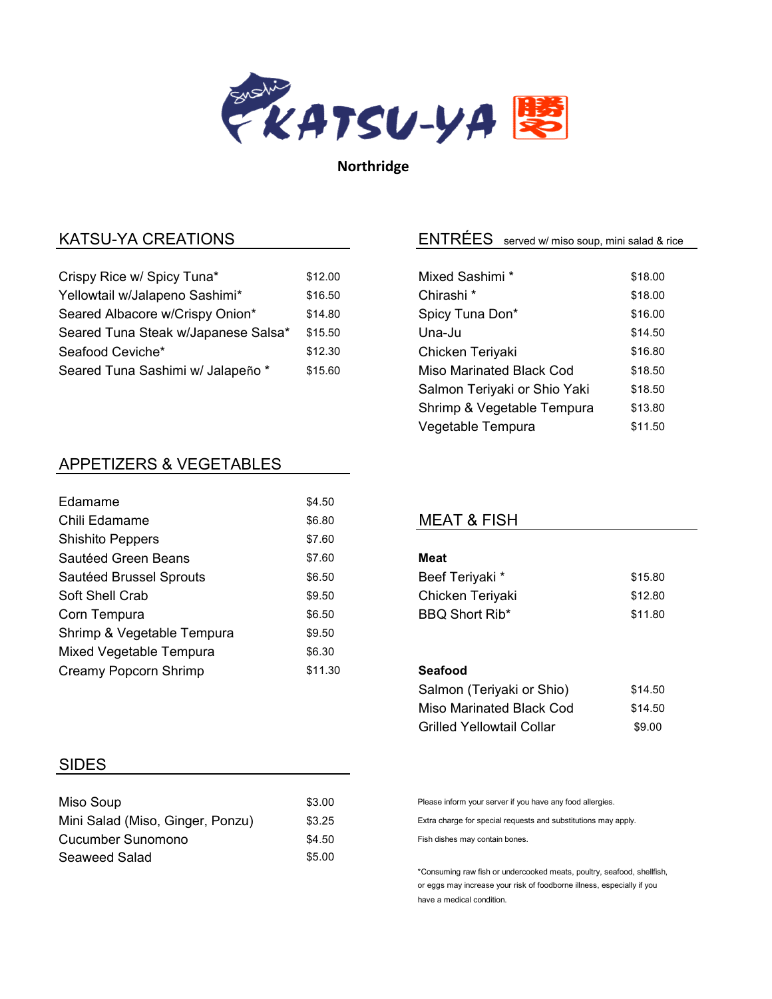

Northridge

# KATSU-YA CREATIONS

| Crispy Rice w/ Spicy Tuna*          | \$12.00 |
|-------------------------------------|---------|
| Yellowtail w/Jalapeno Sashimi*      | \$16.50 |
| Seared Albacore w/Crispy Onion*     | \$14.80 |
| Seared Tuna Steak w/Japanese Salsa* | \$15.50 |
| Seafood Ceviche*                    | \$12.30 |
| Seared Tuna Sashimi w/ Jalapeño *   | \$15.60 |

# APPETIZERS & VEGETABLES

| <b>Edamame</b>             | \$4.50  |
|----------------------------|---------|
| Chili Edamame              | \$6.80  |
| <b>Shishito Peppers</b>    | \$7.60  |
| Sautéed Green Beans        | \$7.60  |
| Sautéed Brussel Sprouts    | \$6.50  |
| Soft Shell Crab            | \$9.50  |
| Corn Tempura               | \$6.50  |
| Shrimp & Vegetable Tempura | \$9.50  |
| Mixed Vegetable Tempura    | \$6.30  |
| Creamy Popcorn Shrimp      | \$11.30 |
|                            |         |

#### SIDES

| Miso Soup                        | \$3.00 |
|----------------------------------|--------|
| Mini Salad (Miso, Ginger, Ponzu) | \$3.25 |
| Cucumber Sunomono                | \$4.50 |
| Seaweed Salad                    | \$5.00 |

# ENTRÉES served w/ miso soup, mini salad & rice

| Mixed Sashimi *              | \$18.00 |
|------------------------------|---------|
| Chirashi <sup>*</sup>        | \$18.00 |
| Spicy Tuna Don*              | \$16.00 |
| Una-Ju                       | \$14.50 |
| Chicken Teriyaki             | \$16.80 |
| Miso Marinated Black Cod     | \$18.50 |
| Salmon Teriyaki or Shio Yaki | \$18.50 |
| Shrimp & Vegetable Tempura   | \$13.80 |
| Vegetable Tempura            | \$11.50 |

## MEAT & FISH

#### Meat

| Beef Teriyaki *       | \$15.80 |
|-----------------------|---------|
| Chicken Teriyaki      | \$12.80 |
| <b>BBQ Short Rib*</b> | \$11.80 |

#### Seafood

| Salmon (Teriyaki or Shio) | \$14.50 |
|---------------------------|---------|
| Miso Marinated Black Cod  | \$14.50 |
| Grilled Yellowtail Collar | \$9.00  |

Please inform your server if you have any food allergies.

Extra charge for special requests and substitutions may apply.

Fish dishes may contain bones.

\*Consuming raw fish or undercooked meats, poultry, seafood, shellfish, or eggs may increase your risk of foodborne illness, especially if you have a medical condition.